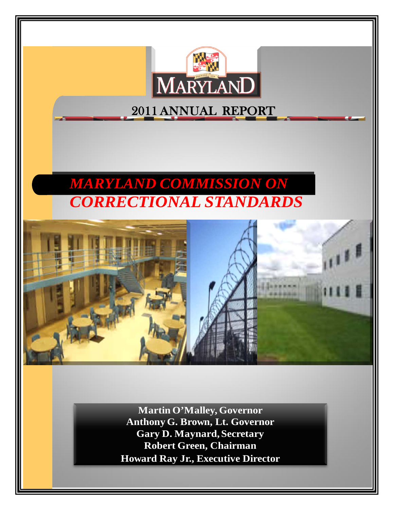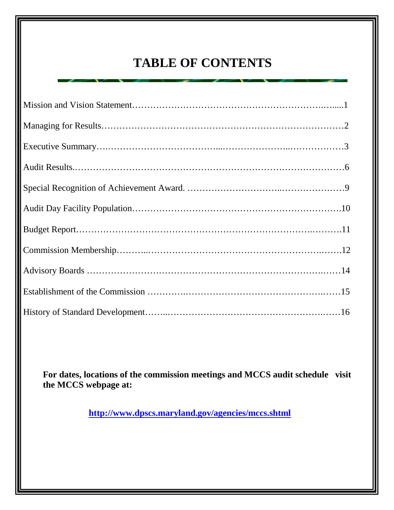# **TABLE OF CONTENTS**

**For dates, locations of the commission meetings and MCCS audit schedule visit the MCCS webpage at:**

**<http://www.dpscs.maryland.gov/agencies/mccs.shtml>**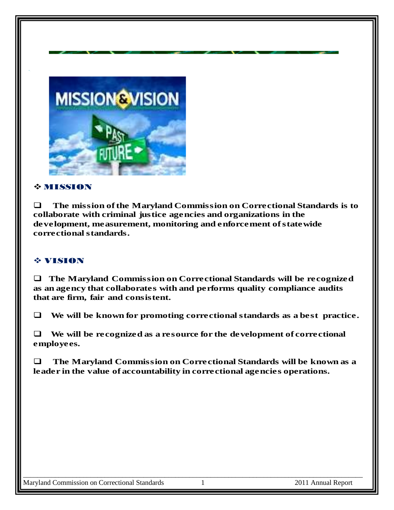

#### $\div$  **MISSION**

 **The mission of the Maryland Commission on Correctional Standards is to collaborate with criminal justice agencies and organizations in the development, measurement, monitoring and enforcement of statewide correctional standards.**

#### VISION

 **The Maryland Commission on Correctional Standards will be recognized as an agency that collaborates with and performs quality compliance audits that are firm, fair and consistent.**

**We will be known for promoting correctional standards as a best practice.**

 **We will be recognized as a resource for the development of correctional employees.**

 **The Maryland Commission on Correctional Standards will be known as a leader in the value of accountability in correctional agencies operations.**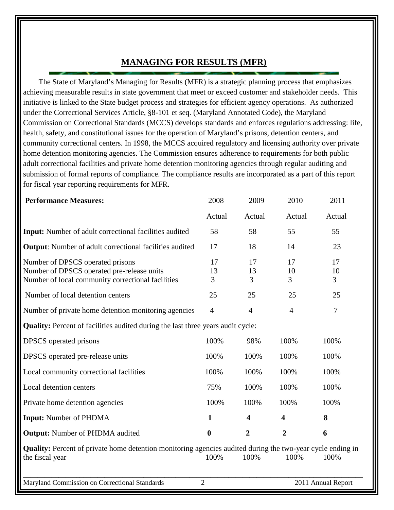### **MANAGING FOR RESULTS (MFR)**

 The State of Maryland's Managing for Results (MFR) is a strategic planning process that emphasizes achieving measurable results in state government that meet or exceed customer and stakeholder needs. This initiative is linked to the State budget process and strategies for efficient agency operations. As authorized under the Correctional Services Article, §8-101 et seq. (Maryland Annotated Code), the Maryland Commission on Correctional Standards (MCCS) develops standards and enforces regulations addressing: life, health, safety, and constitutional issues for the operation of Maryland's prisons, detention centers, and community correctional centers. In 1998, the MCCS acquired regulatory and licensing authority over private home detention monitoring agencies. The Commission ensures adherence to requirements for both public adult correctional facilities and private home detention monitoring agencies through regular auditing and submission of formal reports of compliance. The compliance results are incorporated as a part of this report for fiscal year reporting requirements for MFR.

| <b>Performance Measures:</b>                                                                                                         | 2008             | 2009                    | 2010                    | 2011                       |
|--------------------------------------------------------------------------------------------------------------------------------------|------------------|-------------------------|-------------------------|----------------------------|
|                                                                                                                                      | Actual           | Actual                  | Actual                  | Actual                     |
| <b>Input:</b> Number of adult correctional facilities audited                                                                        | 58               | 58                      | 55                      | 55                         |
| <b>Output:</b> Number of adult correctional facilities audited                                                                       | 17               | 18                      | 14                      | 23                         |
| Number of DPSCS operated prisons<br>Number of DPSCS operated pre-release units<br>Number of local community correctional facilities  | 17<br>13<br>3    | 17<br>13<br>3           | 17<br>10<br>3           | 17<br>10<br>$\overline{3}$ |
| Number of local detention centers                                                                                                    | 25               | 25                      | 25                      | 25                         |
| Number of private home detention monitoring agencies                                                                                 | $\overline{4}$   | $\overline{4}$          | $\overline{4}$          | $\overline{7}$             |
| <b>Quality:</b> Percent of facilities audited during the last three years audit cycle:                                               |                  |                         |                         |                            |
| DPSCS operated prisons                                                                                                               | 100%             | 98%                     | 100%                    | 100%                       |
| DPSCS operated pre-release units                                                                                                     | 100%             | 100%                    | 100%                    | 100%                       |
| Local community correctional facilities                                                                                              | 100%             | 100%                    | 100%                    | 100%                       |
| Local detention centers                                                                                                              | 75%              | 100%                    | 100%                    | 100%                       |
| Private home detention agencies                                                                                                      | 100%             | 100%                    | 100%                    | 100%                       |
| <b>Input:</b> Number of PHDMA                                                                                                        | $\mathbf{1}$     | $\overline{\mathbf{4}}$ | $\overline{\mathbf{4}}$ | 8                          |
| <b>Output:</b> Number of PHDMA audited                                                                                               | $\boldsymbol{0}$ | $\overline{2}$          | $\overline{2}$          | 6                          |
| <b>Quality:</b> Percent of private home detention monitoring agencies audited during the two-year cycle ending in<br>the fiscal year | 100%             | 100%                    | 100%                    | 100%                       |
| Maryland Commission on Correctional Standards                                                                                        | $\overline{2}$   |                         |                         | 2011 Annual Report         |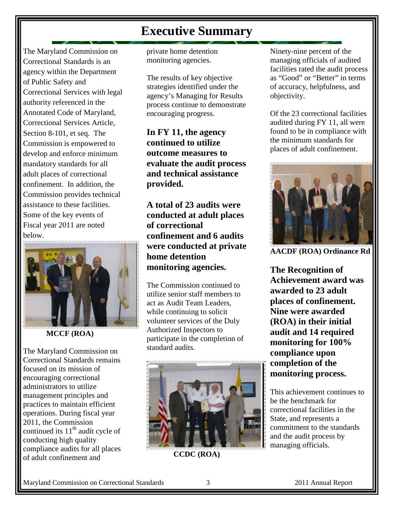### **Executive Summary**

The Maryland Commission on Correctional Standards is an agency within the Department of Public Safety and Correctional Services with legal authority referenced in the Annotated Code of Maryland, Correctional Services Article, Section 8-101, et seq. The Commission is empowered to develop and enforce minimum mandatory standards for all adult places of correctional confinement. In addition, the Commission provides technical assistance to these facilities. Some of the key events of Fiscal year 2011 are noted below.



 **MCCF (ROA)**

The Maryland Commission on Correctional Standards remains focused on its mission of encouraging correctional administrators to utilize management principles and practices to maintain efficient operations. During fiscal year 2011, the Commission continued its  $11<sup>th</sup>$  audit cycle of conducting high quality compliance audits for all places of adult confinement and

private home detention monitoring agencies.

The results of key objective strategies identified under the agency's Managing for Results process continue to demonstrate encouraging progress.

**In FY 11, the agency continued to utilize outcome measures to evaluate the audit process and technical assistance provided.** 

**A total of 23 audits were conducted at adult places of correctional confinement and 6 audits were conducted at private home detention monitoring agencies.**

The Commission continued to utilize senior staff members to act as Audit Team Leaders, while continuing to solicit volunteer services of the Duly Authorized Inspectors to participate in the completion of standard audits.



**CCDC (ROA)**

Ninety-nine percent of the managing officials of audited facilities rated the audit process as "Good" or "Better" in terms of accuracy, helpfulness, and objectivity.

Of the 23 correctional facilities audited during FY 11, all were found to be in compliance with the minimum standards for places of adult confinement.



**AACDF (ROA) Ordinance Rd**

**The Recognition of Achievement award was awarded to 23 adult places of confinement. Nine were awarded (ROA) in their initial audit and 14 required monitoring for 100% compliance upon completion of the monitoring process.**

This achievement continues to be the benchmark for correctional facilities in the State, and represents a commitment to the standards and the audit process by managing officials.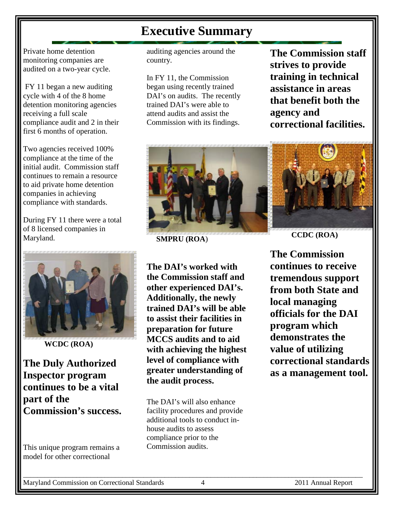### **Executive Summary**

Private home detention monitoring companies are audited on a two-year cycle.

FY 11 began a new auditing cycle with 4 of the 8 home detention monitoring agencies receiving a full scale compliance audit and 2 in their first 6 months of operation.

Two agencies received 100% compliance at the time of the initial audit. Commission staff continues to remain a resource to aid private home detention companies in achieving compliance with standards.

During FY 11 there were a total of 8 licensed companies in Maryland.



**WCDC (ROA)**

**The Duly Authorized Inspector program continues to be a vital part of the Commission's success.** 

This unique program remains a model for other correctional

auditing agencies around the country.

In FY 11, the Commission began using recently trained DAI's on audits. The recently trained DAI's were able to attend audits and assist the Commission with its findings.

**The Commission staff strives to provide training in technical assistance in areas that benefit both the agency and correctional facilities.** 



**SMPRU (ROA**)

**The DAI's worked with the Commission staff and other experienced DAI's. Additionally, the newly trained DAI's will be able to assist their facilities in preparation for future MCCS audits and to aid with achieving the highest level of compliance with greater understanding of the audit process.**

The DAI's will also enhance facility procedures and provide additional tools to conduct inhouse audits to assess compliance prior to the Commission audits.

**CCDC (ROA)**

**The Commission continues to receive tremendous support from both State and local managing officials for the DAI program which demonstrates the value of utilizing correctional standards as a management tool.**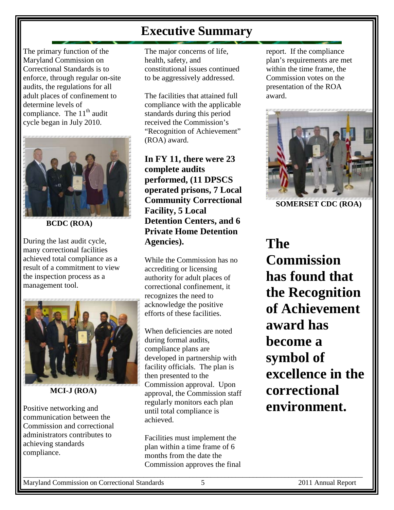## **Executive Summary**

The primary function of the Maryland Commission on Correctional Standards is to enforce, through regular on-site audits, the regulations for all adult places of confinement to determine levels of compliance. The  $11<sup>th</sup>$  audit cycle began in July 2010.



**BCDC (ROA)**

During the last audit cycle, many correctional facilities achieved total compliance as a result of a commitment to view the inspection process as a management tool.



**MCI-J (ROA)**

Positive networking and communication between the Commission and correctional administrators contributes to achieving standards compliance.

The major concerns of life, health, safety, and constitutional issues continued to be aggressively addressed.

The facilities that attained full compliance with the applicable standards during this period received the Commission's "Recognition of Achievement" (ROA) award.

**In FY 11, there were 23 complete audits performed, (11 DPSCS operated prisons, 7 Local Community Correctional Facility, 5 Local Detention Centers, and 6 Private Home Detention Agencies).**

While the Commission has no accrediting or licensing authority for adult places of correctional confinement, it recognizes the need to acknowledge the positive efforts of these facilities.

When deficiencies are noted during formal audits, compliance plans are developed in partnership with facility officials. The plan is then presented to the Commission approval. Upon approval, the Commission staff regularly monitors each plan until total compliance is achieved.

Facilities must implement the plan within a time frame of 6 months from the date the Commission approves the final

report. If the compliance plan's requirements are met within the time frame, the Commission votes on the presentation of the ROA award.



**SOMERSET CDC (ROA)**

# **The Commission has found that the Recognition of Achievement award has become a symbol of excellence in the correctional environment.**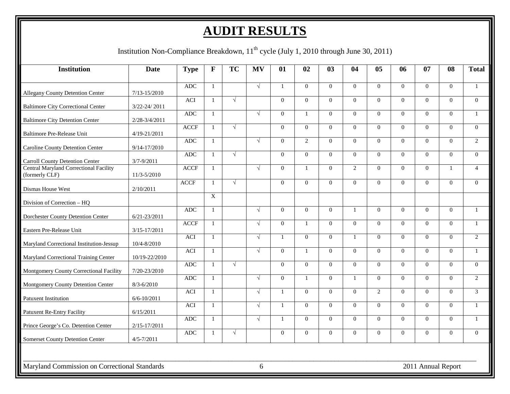# **AUDIT RESULTS**

Institution Non-Compliance Breakdown, 11<sup>th</sup> cycle (July 1, 2010 through June 30, 2011)

| <b>Institution</b>                                                                   | <b>Date</b>                          | <b>Type</b> | F                              | <b>TC</b>  | <b>MV</b>  | 01           | 02               | 03             | 04             | 05                   | 06                   | 07                   | 08             | <b>Total</b>   |
|--------------------------------------------------------------------------------------|--------------------------------------|-------------|--------------------------------|------------|------------|--------------|------------------|----------------|----------------|----------------------|----------------------|----------------------|----------------|----------------|
|                                                                                      |                                      | <b>ADC</b>  | $\mathbf{1}$                   |            | $\sqrt{ }$ | $\mathbf{1}$ | $\theta$         | $\Omega$       | $\Omega$       | $\Omega$             | $\Omega$             | $\Omega$             | $\theta$       | $\mathbf{1}$   |
| <b>Allegany County Detention Center</b><br><b>Baltimore City Correctional Center</b> | $7/13 - 15/2010$<br>$3/22 - 24/2011$ | <b>ACI</b>  | $\mathbf{1}$                   | $\sqrt{ }$ |            | $\Omega$     | $\Omega$         | $\Omega$       | $\Omega$       | $\Omega$             | $\Omega$             | $\theta$             | $\theta$       | $\theta$       |
| <b>Baltimore City Detention Center</b>                                               | 2/28-3/4/2011                        | <b>ADC</b>  | $\mathbf{1}$                   |            | $\sqrt{ }$ | $\theta$     | $\mathbf{1}$     | $\Omega$       | $\Omega$       | $\Omega$             | $\Omega$             | $\Omega$             | $\theta$       | $\mathbf{1}$   |
| Baltimore Pre-Release Unit                                                           | 4/19-21/2011                         | <b>ACCF</b> | $\mathbf{1}$                   | $\sqrt{ }$ |            | $\theta$     | $\theta$         | $\Omega$       | $\Omega$       | $\theta$             | $\theta$             | $\Omega$             | $\theta$       | $\theta$       |
| <b>Caroline County Detention Center</b>                                              | $9/14 - 17/2010$                     | <b>ADC</b>  | -1                             |            | $\sqrt{ }$ | $\theta$     | 2                | $\Omega$       | $\Omega$       | $\Omega$             | $\theta$             | $\theta$             | $\theta$       | 2              |
| <b>Carroll County Detention Center</b>                                               | $3/7 - 9/2011$                       | <b>ADC</b>  | $\overline{1}$                 | $\sqrt{ }$ |            | $\Omega$     | $\theta$         | $\Omega$       | $\Omega$       | $\Omega$             | $\Omega$             | $\Omega$             | $\Omega$       | $\theta$       |
| <b>Central Maryland Correctional Facility</b><br>(formerly CLF)                      | 11/3-5/2010                          | <b>ACCF</b> | $\overline{1}$                 | $\sqrt{ }$ | $\sqrt{ }$ | $\Omega$     | $\mathbf{1}$     | $\Omega$       | $\overline{2}$ | $\Omega$<br>$\Omega$ | $\Omega$<br>$\Omega$ | $\Omega$<br>$\Omega$ | $\mathbf{1}$   | $\overline{4}$ |
| Dismas House West                                                                    | 2/10/2011                            | <b>ACCF</b> | $\mathbf{1}$<br>$\overline{X}$ |            |            | $\Omega$     | $\Omega$         | $\Omega$       | $\Omega$       |                      |                      |                      | $\Omega$       | $\theta$       |
| Division of Correction – HO                                                          |                                      | <b>ADC</b>  | $\mathbf{1}$                   |            | $\sqrt{ }$ | $\theta$     | $\boldsymbol{0}$ | $\mathbf{0}$   | $\mathbf{1}$   | $\Omega$             | $\theta$             | $\Omega$             | $\Omega$       | $\mathbf{1}$   |
| Dorchester County Detention Center                                                   | $6/21 - 23/2011$                     | <b>ACCF</b> | $\overline{1}$                 |            | $\sqrt{ }$ | $\Omega$     | $\mathbf{1}$     | $\overline{0}$ | $\overline{0}$ | $\Omega$             | $\Omega$             | $\Omega$             | $\overline{0}$ | $\mathbf{1}$   |
| Eastern Pre-Release Unit                                                             | $3/15 - 17/2011$                     | <b>ACI</b>  | $\mathbf{1}$                   |            | $\sqrt{ }$ |              | $\Omega$         | $\Omega$       | $\mathbf{1}$   | $\Omega$             | $\Omega$             | $\Omega$             | $\Omega$       | 2              |
| Maryland Correctional Institution-Jessup                                             | 10/4-8/2010                          | <b>ACI</b>  | $\mathbf{1}$                   |            | $\sqrt{ }$ | $\Omega$     | $\mathbf{1}$     | $\Omega$       | $\Omega$       | $\Omega$             | $\Omega$             | $\Omega$             | $\theta$       | 1              |
| Maryland Correctional Training Center                                                | 10/19-22/2010                        | <b>ADC</b>  | $\overline{1}$                 | $\sqrt{ }$ |            | $\Omega$     | $\Omega$         | $\Omega$       | $\Omega$       | $\Omega$             | $\Omega$             | $\Omega$             | $\theta$       | $\theta$       |
| Montgomery County Correctional Facility<br>Montgomery County Detention Center        | 7/20-23/2010<br>$8/3 - 6/2010$       | <b>ADC</b>  | $\mathbf{1}$                   |            | $\sqrt{ }$ | $\theta$     | $\mathbf{1}$     | $\Omega$       | $\mathbf{1}$   | $\Omega$             | $\Omega$             | $\Omega$             | $\Omega$       | $\overline{2}$ |
| <b>Patuxent Institution</b>                                                          | $6/6 - 10/2011$                      | <b>ACI</b>  | $\overline{1}$                 |            | $\sqrt{ }$ | $\mathbf{1}$ | $\Omega$         | $\Omega$       | $\Omega$       | $\mathcal{L}$        | $\Omega$             | $\Omega$             | $\Omega$       | 3              |
| <b>Patuxent Re-Entry Facility</b>                                                    | 6/15/2011                            | ACI         | $\mathbf{1}$                   |            | $\sqrt{ }$ | $\mathbf{1}$ | $\theta$         | $\Omega$       | $\Omega$       | $\Omega$             | $\Omega$             | $\Omega$             | $\Omega$       | $\mathbf{1}$   |
| Prince George's Co. Detention Center                                                 | $2/15 - 17/2011$                     | <b>ADC</b>  | $\mathbf{1}$                   |            | $\sqrt{ }$ | $\mathbf{1}$ | $\Omega$         | $\Omega$       | $\Omega$       | $\Omega$             | $\Omega$             | $\Omega$             | $\Omega$       | $\mathbf{1}$   |
| <b>Somerset County Detention Center</b>                                              | $4/5 - 7/2011$                       | <b>ADC</b>  | $\mathbf{1}$                   | $\sqrt{ }$ |            | $\theta$     | $\Omega$         | $\mathbf{0}$   | $\Omega$       | $\Omega$             | $\theta$             | $\Omega$             | $\Omega$       | $\theta$       |
|                                                                                      |                                      |             |                                |            |            |              |                  |                |                |                      |                      |                      |                |                |
| Maryland Commission on Correctional Standards                                        |                                      |             |                                |            | 6          |              |                  |                |                |                      |                      | 2011 Annual Report   |                |                |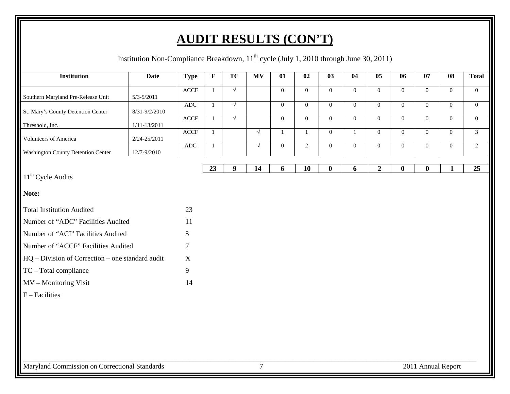# **AUDIT RESULTS (CON'T)**

Institution Non-Compliance Breakdown, 11<sup>th</sup> cycle (July 1, 2010 through June 30, 2011)

| $\parallel$<br><b>Institution</b>                  | <b>Date</b>      | <b>Type</b>                      | $\mathbf F$  | <b>TC</b>  | <b>MV</b>      | 01               | 02               | 03               | 04               | 05               | 06             | 07                 | 08             | <b>Total</b>   |
|----------------------------------------------------|------------------|----------------------------------|--------------|------------|----------------|------------------|------------------|------------------|------------------|------------------|----------------|--------------------|----------------|----------------|
|                                                    |                  | $\ensuremath{\mathsf{ACCF}}$     | $\mathbf{1}$ | $\sqrt{ }$ |                | $\overline{0}$   | $\mathbf{0}$     | $\boldsymbol{0}$ | $\mathbf{0}$     | $\boldsymbol{0}$ | $\mathbf{0}$   | $\overline{0}$     | $\overline{0}$ | $\overline{0}$ |
| Southern Maryland Pre-Release Unit                 | $5/3 - 5/2011$   | $\mathbf{A}\mathbf{D}\mathbf{C}$ | $\mathbf{1}$ | $\sqrt{ }$ |                | $\mathbf{0}$     | $\overline{0}$   | $\mathbf{0}$     | $\mathbf{0}$     | $\mathbf{0}$     | $\mathbf{0}$   | $\overline{0}$     | $\overline{0}$ | $\overline{0}$ |
| St. Mary's County Detention Center                 | 8/31-9/2/2010    |                                  |              |            |                |                  |                  |                  |                  |                  |                |                    |                |                |
| Threshold, Inc.                                    | $1/11 - 13/2011$ | <b>ACCF</b>                      | $\mathbf{1}$ | $\sqrt{ }$ |                | $\boldsymbol{0}$ | $\boldsymbol{0}$ | $\mathbf{0}$     | $\boldsymbol{0}$ | $\boldsymbol{0}$ | $\overline{0}$ | $\overline{0}$     | $\overline{0}$ | $\overline{0}$ |
| Volunteers of America                              | 2/24-25/2011     | <b>ACCF</b>                      | $\mathbf{1}$ |            | $\sqrt{ }$     | 1                | 1                | $\mathbf{0}$     | $\mathbf{1}$     | $\overline{0}$   | $\overline{0}$ | $\overline{0}$     | $\overline{0}$ | $\overline{3}$ |
| <b>Washington County Detention Center</b>          | 12/7-9/2010      | <b>ADC</b>                       | $\mathbf{1}$ |            | $\sqrt{ }$     | $\overline{0}$   | $\overline{2}$   | $\mathbf{0}$     | $\boldsymbol{0}$ | $\overline{0}$   | $\overline{0}$ | $\overline{0}$     | $\overline{0}$ | $\overline{2}$ |
|                                                    |                  |                                  |              |            |                |                  |                  |                  |                  |                  |                |                    |                |                |
| 11 <sup>th</sup> Cycle Audits                      |                  |                                  | 23           | 9          | 14             | 6                | 10               | $\bf{0}$         | 6                | $\boldsymbol{2}$ | $\bf{0}$       | $\boldsymbol{0}$   | 1              | 25             |
|                                                    |                  |                                  |              |            |                |                  |                  |                  |                  |                  |                |                    |                |                |
| Note:                                              |                  |                                  |              |            |                |                  |                  |                  |                  |                  |                |                    |                |                |
| Total Institution Audited                          |                  | 23                               |              |            |                |                  |                  |                  |                  |                  |                |                    |                |                |
| Number of "ADC" Facilities Audited                 |                  | 11                               |              |            |                |                  |                  |                  |                  |                  |                |                    |                |                |
| Number of "ACI" Facilities Audited                 |                  | 5                                |              |            |                |                  |                  |                  |                  |                  |                |                    |                |                |
| Number of "ACCF" Facilities Audited                |                  | 7                                |              |            |                |                  |                  |                  |                  |                  |                |                    |                |                |
| $HQ - Division of Correction - one standard audit$ |                  | X                                |              |            |                |                  |                  |                  |                  |                  |                |                    |                |                |
| $TC - Total compliance$                            |                  | 9                                |              |            |                |                  |                  |                  |                  |                  |                |                    |                |                |
| MV - Monitoring Visit                              |                  | 14                               |              |            |                |                  |                  |                  |                  |                  |                |                    |                |                |
| $F$ – Facilities                                   |                  |                                  |              |            |                |                  |                  |                  |                  |                  |                |                    |                |                |
|                                                    |                  |                                  |              |            |                |                  |                  |                  |                  |                  |                |                    |                |                |
|                                                    |                  |                                  |              |            |                |                  |                  |                  |                  |                  |                |                    |                |                |
|                                                    |                  |                                  |              |            |                |                  |                  |                  |                  |                  |                |                    |                |                |
|                                                    |                  |                                  |              |            |                |                  |                  |                  |                  |                  |                |                    |                |                |
|                                                    |                  |                                  |              |            |                |                  |                  |                  |                  |                  |                |                    |                |                |
| Maryland Commission on Correctional Standards      |                  |                                  |              |            | $\overline{7}$ |                  |                  |                  |                  |                  |                | 2011 Annual Report |                |                |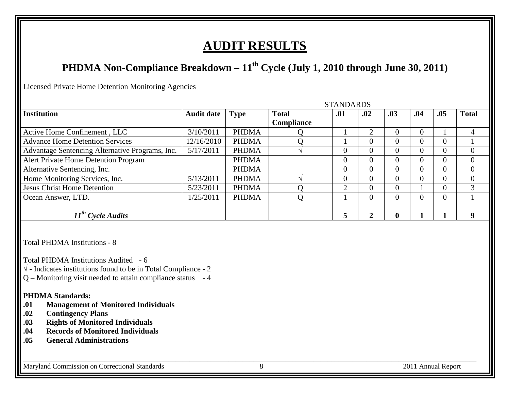## **AUDIT RESULTS**

### **PHDMA Non-Compliance Breakdown – 11th Cycle (July 1, 2010 through June 30, 2011)**

STANDARDS (STANDARDS)

Licensed Private Home Detention Monitoring Agencies

|                                                 |                   |              |                   | STANDARDS      |     |          |     |          |              |
|-------------------------------------------------|-------------------|--------------|-------------------|----------------|-----|----------|-----|----------|--------------|
| <b>Institution</b>                              | <b>Audit date</b> | <b>Type</b>  | <b>Total</b>      | .01            | .02 | .03      | .04 | .05      | <b>Total</b> |
|                                                 |                   |              | <b>Compliance</b> |                |     |          |     |          |              |
| Active Home Confinement, LLC                    | 3/10/2011         | <b>PHDMA</b> |                   |                | ◠   |          |     |          |              |
| <b>Advance Home Detention Services</b>          | 12/16/2010        | <b>PHDMA</b> |                   |                |     | 0        | 0   | $\theta$ |              |
| Advantage Sentencing Alternative Programs, Inc. | 5/17/2011         | <b>PHDMA</b> |                   | $\Omega$       |     | 0        | 0   | $\theta$ |              |
| <b>Alert Private Home Detention Program</b>     |                   | <b>PHDMA</b> |                   | $\overline{0}$ |     | 0        | 0   | $\theta$ |              |
| Alternative Sentencing, Inc.                    |                   | <b>PHDMA</b> |                   | $\Omega$       |     | 0        | 0   | $\theta$ |              |
| Home Monitoring Services, Inc.                  | 5/13/2011         | <b>PHDMA</b> |                   | $\Omega$       |     | 0        | 0   | 0        |              |
| <b>Jesus Christ Home Detention</b>              | 5/23/2011         | <b>PHDMA</b> |                   | ◠              |     | $\Omega$ |     |          | 3            |
| Ocean Answer, LTD.                              | 1/25/2011         | <b>PHDMA</b> |                   |                |     | 0        | 0   | $\theta$ |              |
| $11^{th}$ Cycle Audits                          |                   |              |                   |                |     | 0        |     |          | q            |

Total PHDMA Institutions - 8

Total PHDMA Institutions Audited - 6

- $\sqrt{\ }$  Indicates institutions found to be in Total Compliance 2
- $Q$  Monitoring visit needed to attain compliance status  $-4$

# **PHDMA Standards:**<br>.01 **Management**

- **.01 Management of Monitored Individuals**
- **.02 Contingency Plans**
- **.03 Rights of Monitored Individuals**
- **.04 Records of Monitored Individuals**
- **.05 General Administrations**

Maryland Commission on Correctional Standards 8 2011 Annual Report

\_\_\_\_\_\_\_\_\_\_\_\_\_\_\_\_\_\_\_\_\_\_\_\_\_\_\_\_\_\_\_\_\_\_\_\_\_\_\_\_\_\_\_\_\_\_\_\_\_\_\_\_\_\_\_\_\_\_\_\_\_\_\_\_\_\_\_\_\_\_\_\_\_\_\_\_\_\_\_\_\_\_\_\_\_\_\_\_\_\_\_\_\_\_\_\_\_\_\_\_\_\_\_\_\_\_\_\_\_\_\_\_\_\_\_\_\_\_\_\_\_\_\_\_\_\_\_\_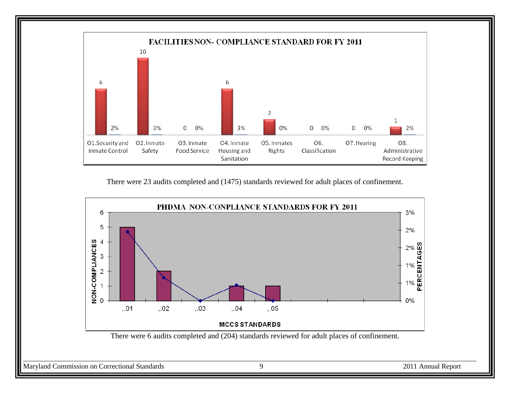

There were 23 audits completed and (1475) standards reviewed for adult places of confinement.

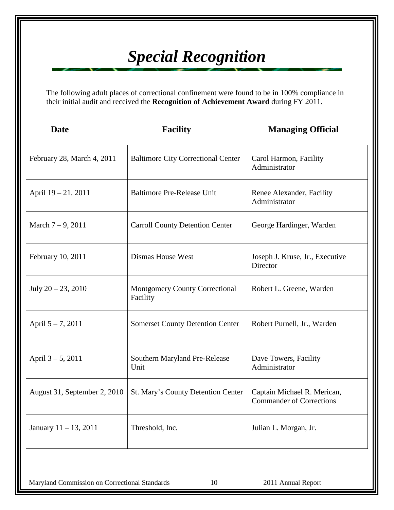# *Special Recognition*

The following adult places of correctional confinement were found to be in 100% compliance in their initial audit and received the **Recognition of Achievement Award** during FY 2011.

| <b>Date</b>                  | <b>Facility</b>                                   | <b>Managing Official</b>                                       |
|------------------------------|---------------------------------------------------|----------------------------------------------------------------|
| February 28, March 4, 2011   | <b>Baltimore City Correctional Center</b>         | Carol Harmon, Facility<br>Administrator                        |
| April 19 – 21. 2011          | <b>Baltimore Pre-Release Unit</b>                 | Renee Alexander, Facility<br>Administrator                     |
| March $7 - 9$ , 2011         | <b>Carroll County Detention Center</b>            | George Hardinger, Warden                                       |
| February 10, 2011            | <b>Dismas House West</b>                          | Joseph J. Kruse, Jr., Executive<br>Director                    |
| July $20 - 23$ , $2010$      | <b>Montgomery County Correctional</b><br>Facility | Robert L. Greene, Warden                                       |
| April 5-7, 2011              | <b>Somerset County Detention Center</b>           | Robert Purnell, Jr., Warden                                    |
| April $3 - 5$ , 2011         | Southern Maryland Pre-Release<br>Unit             | Dave Towers, Facility<br>Administrator                         |
| August 31, September 2, 2010 | St. Mary's County Detention Center                | Captain Michael R. Merican,<br><b>Commander of Corrections</b> |
| January 11 - 13, 2011        | Threshold, Inc.                                   | Julian L. Morgan, Jr.                                          |

Maryland Commission on Correctional Standards 10 2011 Annual Report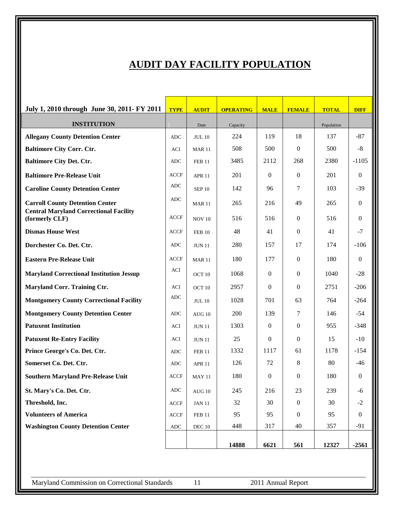### **AUDIT DAY FACILITY POPULATION**

| July 1, 2010 through June 30, 2011- FY 2011                                             | <b>TYPE</b> | <b>AUDIT</b>      | <b>OPERATING</b> | <b>MALE</b>  | <b>FEMALE</b>    | <b>TOTAL</b> | <b>DIFF</b>      |
|-----------------------------------------------------------------------------------------|-------------|-------------------|------------------|--------------|------------------|--------------|------------------|
| <b>INSTITUTION</b>                                                                      |             | Date              | Capacity         |              |                  | Population   |                  |
| <b>Allegany County Detention Center</b>                                                 | <b>ADC</b>  | <b>JUL 10</b>     | 224              | 119          | 18               | 137          | $-87$            |
| <b>Baltimore City Corr. Ctr.</b>                                                        | <b>ACI</b>  | <b>MAR 11</b>     | 508              | 500          | $\theta$         | 500          | $\mbox{-}8$      |
| <b>Baltimore City Det. Ctr.</b>                                                         | <b>ADC</b>  | <b>FEB 11</b>     | 3485             | 2112         | 268              | 2380         | $-1105$          |
| <b>Baltimore Pre-Release Unit</b>                                                       | <b>ACCF</b> | <b>APR 11</b>     | 201              | $\mathbf{0}$ | $\theta$         | 201          | $\Omega$         |
| <b>Caroline County Detention Center</b>                                                 | <b>ADC</b>  | <b>SEP 10</b>     | 142              | 96           | 7                | 103          | $-39$            |
| <b>Carroll County Detention Center</b><br><b>Central Maryland Correctional Facility</b> | <b>ADC</b>  | <b>MAR 11</b>     | 265              | 216          | 49               | 265          | $\Omega$         |
| (formerly CLF)                                                                          | <b>ACCF</b> | <b>NOV 10</b>     | 516              | 516          | $\mathbf{0}$     | 516          | $\Omega$         |
| <b>Dismas House West</b>                                                                | <b>ACCF</b> | <b>FEB 10</b>     | 48               | 41           | $\mathbf{0}$     | 41           | $-7$             |
| Dorchester Co. Det. Ctr.                                                                | <b>ADC</b>  | <b>JUN 11</b>     | 280              | 157          | 17               | 174          | $-106$           |
| <b>Eastern Pre-Release Unit</b>                                                         | <b>ACCF</b> | <b>MAR 11</b>     | 180              | 177          | $\mathbf{0}$     | 180          | $\boldsymbol{0}$ |
| <b>Maryland Correctional Institution Jessup</b>                                         | ACI         | OCT <sub>10</sub> | 1068             | $\Omega$     | $\theta$         | 1040         | $-28$            |
| Maryland Corr. Training Ctr.                                                            | <b>ACI</b>  | OCT <sub>10</sub> | 2957             | $\Omega$     | $\mathbf{0}$     | 2751         | $-206$           |
| <b>Montgomery County Correctional Facility</b>                                          | ADC         | <b>JUL 10</b>     | 1028             | 701          | 63               | 764          | $-264$           |
| <b>Montgomery County Detention Center</b>                                               | ADC         | <b>AUG 10</b>     | 200              | 139          | 7                | 146          | $-54$            |
| <b>Patuxent Institution</b>                                                             | ACI         | <b>JUN 11</b>     | 1303             | $\theta$     | $\mathbf{0}$     | 955          | $-348$           |
| <b>Patuxent Re-Entry Facility</b>                                                       | ACI         | <b>JUN 11</b>     | 25               | $\Omega$     | $\mathbf{0}$     | 15           | $-10$            |
| Prince George's Co. Det. Ctr.                                                           | <b>ADC</b>  | <b>FEB 11</b>     | 1332             | 1117         | 61               | 1178         | $-154$           |
| Somerset Co. Det. Ctr.                                                                  | <b>ADC</b>  | <b>APR 11</b>     | 126              | 72           | 8                | 80           | $-46$            |
| <b>Southern Maryland Pre-Release Unit</b>                                               | <b>ACCF</b> | <b>MAY 11</b>     | 180              | $\mathbf{0}$ | $\theta$         | 180          | $\theta$         |
| St. Mary's Co. Det. Ctr.                                                                | ADC         | $\rm{AUG}$ $10$   | 245              | 216          | 23               | 239          | $-6$             |
| Threshold, Inc.                                                                         | <b>ACCF</b> | $JAN$ 11          | 32               | 30           | $\boldsymbol{0}$ | 30           | $-2$             |
| <b>Volunteers of America</b>                                                            | <b>ACCF</b> | <b>FEB 11</b>     | 95               | 95           | $\mathbf{0}$     | 95           | $\boldsymbol{0}$ |
| <b>Washington County Detention Center</b>                                               | ADC         | $DEC$ $10$        | 448              | 317          | 40               | 357          | $-91$            |
|                                                                                         |             |                   | 14888            | 6621         | 561              | 12327        | $-2561$          |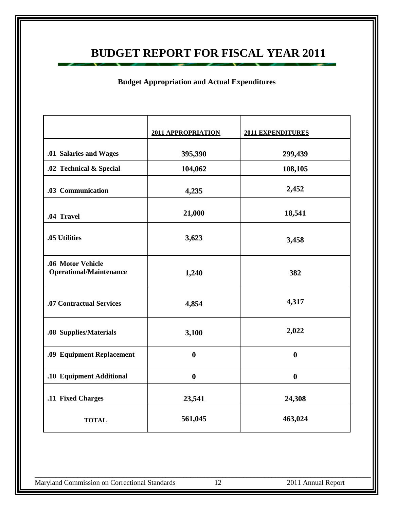### **BUDGET REPORT FOR FISCAL YEAR 2011**

### **Budget Appropriation and Actual Expenditures**

|                                                     | 2011 APPROPRIATION | 2011 EXPENDITURES |
|-----------------------------------------------------|--------------------|-------------------|
| .01 Salaries and Wages                              | 395,390            | 299,439           |
| .02 Technical & Special                             | 104,062            | 108,105           |
| .03 Communication                                   | 4,235              | 2,452             |
| .04 Travel                                          | 21,000             | 18,541            |
| .05 Utilities                                       | 3,623              | 3,458             |
| .06 Motor Vehicle<br><b>Operational/Maintenance</b> | 1,240              | 382               |
| .07 Contractual Services                            | 4,854              | 4,317             |
| .08 Supplies/Materials                              | 3,100              | 2,022             |
| .09 Equipment Replacement                           | $\boldsymbol{0}$   | $\boldsymbol{0}$  |
| .10 Equipment Additional                            | $\boldsymbol{0}$   | $\boldsymbol{0}$  |
| .11 Fixed Charges                                   | 23,541             | 24,308            |
| <b>TOTAL</b>                                        | 561,045            | 463,024           |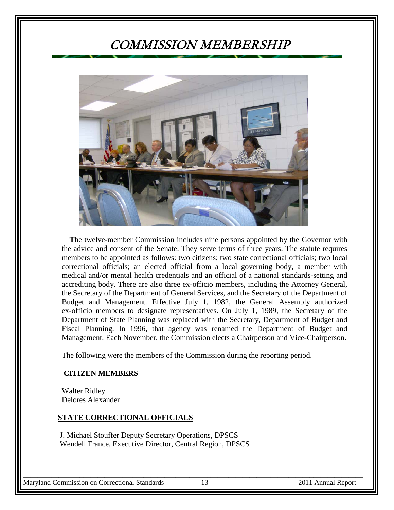### COMMISSION MEMBERSHIP



 **T**he twelve-member Commission includes nine persons appointed by the Governor with the advice and consent of the Senate. They serve terms of three years. The statute requires members to be appointed as follows: two citizens; two state correctional officials; two local correctional officials; an elected official from a local governing body, a member with medical and/or mental health credentials and an official of a national standards-setting and accrediting body. There are also three ex-officio members, including the Attorney General, the Secretary of the Department of General Services, and the Secretary of the Department of Budget and Management. Effective July 1, 1982, the General Assembly authorized ex-officio members to designate representatives. On July 1, 1989, the Secretary of the Department of State Planning was replaced with the Secretary, Department of Budget and Fiscal Planning. In 1996, that agency was renamed the Department of Budget and Management. Each November, the Commission elects a Chairperson and Vice-Chairperson.

The following were the members of the Commission during the reporting period.

#### **CITIZEN MEMBERS**

 Walter Ridley Delores Alexander

#### **STATE CORRECTIONAL OFFICIALS**

 J. Michael Stouffer Deputy Secretary Operations, DPSCS Wendell France, Executive Director, Central Region, DPSCS

Maryland Commission on Correctional Standards 13 2011 Annual Report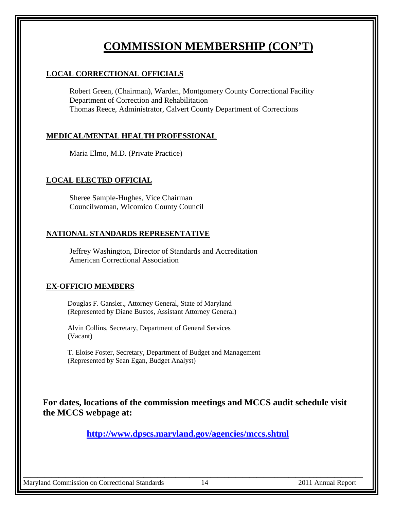### **COMMISSION MEMBERSHIP (CON'T)**

#### **LOCAL CORRECTIONAL OFFICIALS**

Robert Green, (Chairman), Warden, Montgomery County Correctional Facility Department of Correction and Rehabilitation Thomas Reece, Administrator, Calvert County Department of Corrections

### **MEDICAL/MENTAL HEALTH PROFESSIONAL**

Maria Elmo, M.D. (Private Practice)

### **LOCAL ELECTED OFFICIAL**

Sheree Sample-Hughes, Vice Chairman Councilwoman, Wicomico County Council

### **NATIONAL STANDARDS REPRESENTATIVE**

Jeffrey Washington, Director of Standards and Accreditation American Correctional Association

#### **EX-OFFICIO MEMBERS**

 Douglas F. Gansler., Attorney General, State of Maryland (Represented by Diane Bustos, Assistant Attorney General)

 Alvin Collins, Secretary, Department of General Services (Vacant)

 T. Eloise Foster, Secretary, Department of Budget and Management (Represented by Sean Egan, Budget Analyst)

**For dates, locations of the commission meetings and MCCS audit schedule visit the MCCS webpage at:**

 **<http://www.dpscs.maryland.gov/agencies/mccs.shtml>**

\_\_\_\_\_\_\_\_\_\_\_\_\_\_\_\_\_\_\_\_\_\_\_\_\_\_\_\_\_\_\_\_\_\_\_\_\_\_\_\_\_\_\_\_\_\_\_\_\_\_\_\_\_\_\_\_\_\_\_\_\_\_\_\_\_\_\_\_\_\_\_\_\_\_\_\_\_\_\_\_\_\_\_\_\_\_\_\_\_\_\_\_\_\_\_\_

Maryland Commission on Correctional Standards 14 2011 Annual Report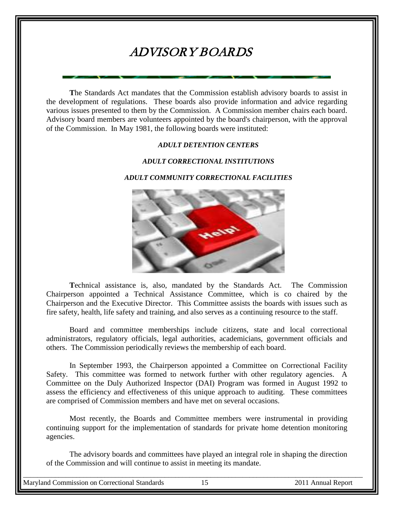## ADVISORY BOARDS

**T**he Standards Act mandates that the Commission establish advisory boards to assist in the development of regulations. These boards also provide information and advice regarding various issues presented to them by the Commission. A Commission member chairs each board. Advisory board members are volunteers appointed by the board's chairperson, with the approval of the Commission. In May 1981, the following boards were instituted:

#### *ADULT DETENTION CENTERS*

#### *ADULT CORRECTIONAL INSTITUTIONS*

#### *ADULT COMMUNITY CORRECTIONAL FACILITIES*



 **T**echnical assistance is, also, mandated by the Standards Act. The Commission Chairperson appointed a Technical Assistance Committee, which is co chaired by the Chairperson and the Executive Director. This Committee assists the boards with issues such as fire safety, health, life safety and training, and also serves as a continuing resource to the staff.

Board and committee memberships include citizens, state and local correctional administrators, regulatory officials, legal authorities, academicians, government officials and others. The Commission periodically reviews the membership of each board.

In September 1993, the Chairperson appointed a Committee on Correctional Facility Safety. This committee was formed to network further with other regulatory agencies. A Committee on the Duly Authorized Inspector (DAI) Program was formed in August 1992 to assess the efficiency and effectiveness of this unique approach to auditing. These committees are comprised of Commission members and have met on several occasions.

Most recently, the Boards and Committee members were instrumental in providing continuing support for the implementation of standards for private home detention monitoring agencies.

The advisory boards and committees have played an integral role in shaping the direction of the Commission and will continue to assist in meeting its mandate.

\_\_\_\_\_\_\_\_\_\_\_\_\_\_\_\_\_\_\_\_\_\_\_\_\_\_\_\_\_\_\_\_\_\_\_\_\_\_\_\_\_\_\_\_\_\_\_\_\_\_\_\_\_\_\_\_\_\_\_\_\_\_\_\_\_\_\_\_\_\_\_\_\_\_\_\_\_\_\_\_\_\_\_\_\_\_\_\_\_\_\_\_\_\_\_\_

Maryland Commission on Correctional Standards 15 2011 Annual Report

a sa nag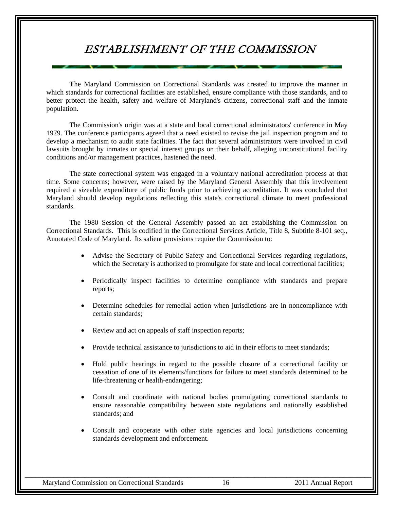### ESTABLISHMENT OF THE COMMISSION

**T**he Maryland Commission on Correctional Standards was created to improve the manner in which standards for correctional facilities are established, ensure compliance with those standards, and to better protect the health, safety and welfare of Maryland's citizens, correctional staff and the inmate population.

The Commission's origin was at a state and local correctional administrators' conference in May 1979. The conference participants agreed that a need existed to revise the jail inspection program and to develop a mechanism to audit state facilities. The fact that several administrators were involved in civil lawsuits brought by inmates or special interest groups on their behalf, alleging unconstitutional facility conditions and/or management practices, hastened the need.

The state correctional system was engaged in a voluntary national accreditation process at that time. Some concerns; however, were raised by the Maryland General Assembly that this involvement required a sizeable expenditure of public funds prior to achieving accreditation. It was concluded that Maryland should develop regulations reflecting this state's correctional climate to meet professional standards.

The 1980 Session of the General Assembly passed an act establishing the Commission on Correctional Standards. This is codified in the Correctional Services Article, Title 8, Subtitle 8-101 seq., Annotated Code of Maryland. Its salient provisions require the Commission to:

- Advise the Secretary of Public Safety and Correctional Services regarding regulations, which the Secretary is authorized to promulgate for state and local correctional facilities;
- Periodically inspect facilities to determine compliance with standards and prepare reports;
- Determine schedules for remedial action when jurisdictions are in noncompliance with certain standards;
- Review and act on appeals of staff inspection reports;
- Provide technical assistance to jurisdictions to aid in their efforts to meet standards;
- Hold public hearings in regard to the possible closure of a correctional facility or cessation of one of its elements/functions for failure to meet standards determined to be life-threatening or health-endangering;
- Consult and coordinate with national bodies promulgating correctional standards to ensure reasonable compatibility between state regulations and nationally established standards; and
- Consult and cooperate with other state agencies and local jurisdictions concerning standards development and enforcement.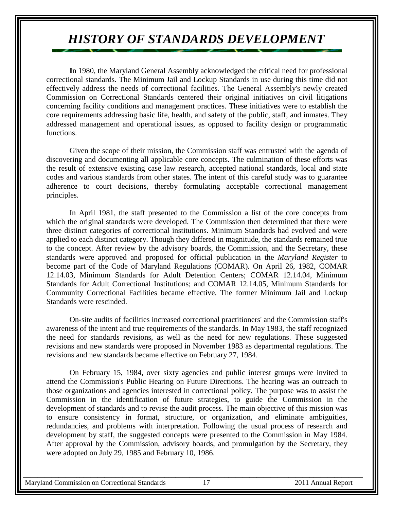# *HISTORY OF STANDARDS DEVELOPMENT*

**I**n 1980, the Maryland General Assembly acknowledged the critical need for professional correctional standards. The Minimum Jail and Lockup Standards in use during this time did not effectively address the needs of correctional facilities. The General Assembly's newly created Commission on Correctional Standards centered their original initiatives on civil litigations concerning facility conditions and management practices. These initiatives were to establish the core requirements addressing basic life, health, and safety of the public, staff, and inmates. They addressed management and operational issues, as opposed to facility design or programmatic functions.

Given the scope of their mission, the Commission staff was entrusted with the agenda of discovering and documenting all applicable core concepts. The culmination of these efforts was the result of extensive existing case law research, accepted national standards, local and state codes and various standards from other states. The intent of this careful study was to guarantee adherence to court decisions, thereby formulating acceptable correctional management principles.

In April 1981, the staff presented to the Commission a list of the core concepts from which the original standards were developed. The Commission then determined that there were three distinct categories of correctional institutions. Minimum Standards had evolved and were applied to each distinct category. Though they differed in magnitude, the standards remained true to the concept. After review by the advisory boards, the Commission, and the Secretary, these standards were approved and proposed for official publication in the *Maryland Register* to become part of the Code of Maryland Regulations (COMAR)*.* On April 26, 1982, COMAR 12.14.03, Minimum Standards for Adult Detention Centers; COMAR 12.14.04, Minimum Standards for Adult Correctional Institutions; and COMAR 12.14.05, Minimum Standards for Community Correctional Facilities became effective. The former Minimum Jail and Lockup Standards were rescinded.

On-site audits of facilities increased correctional practitioners' and the Commission staff's awareness of the intent and true requirements of the standards. In May 1983, the staff recognized the need for standards revisions, as well as the need for new regulations. These suggested revisions and new standards were proposed in November 1983 as departmental regulations. The revisions and new standards became effective on February 27, 1984.

On February 15, 1984, over sixty agencies and public interest groups were invited to attend the Commission's Public Hearing on Future Directions. The hearing was an outreach to those organizations and agencies interested in correctional policy. The purpose was to assist the Commission in the identification of future strategies, to guide the Commission in the development of standards and to revise the audit process. The main objective of this mission was to ensure consistency in format, structure, or organization, and eliminate ambiguities, redundancies, and problems with interpretation. Following the usual process of research and development by staff, the suggested concepts were presented to the Commission in May 1984. After approval by the Commission, advisory boards, and promulgation by the Secretary, they were adopted on July 29, 1985 and February 10, 1986.